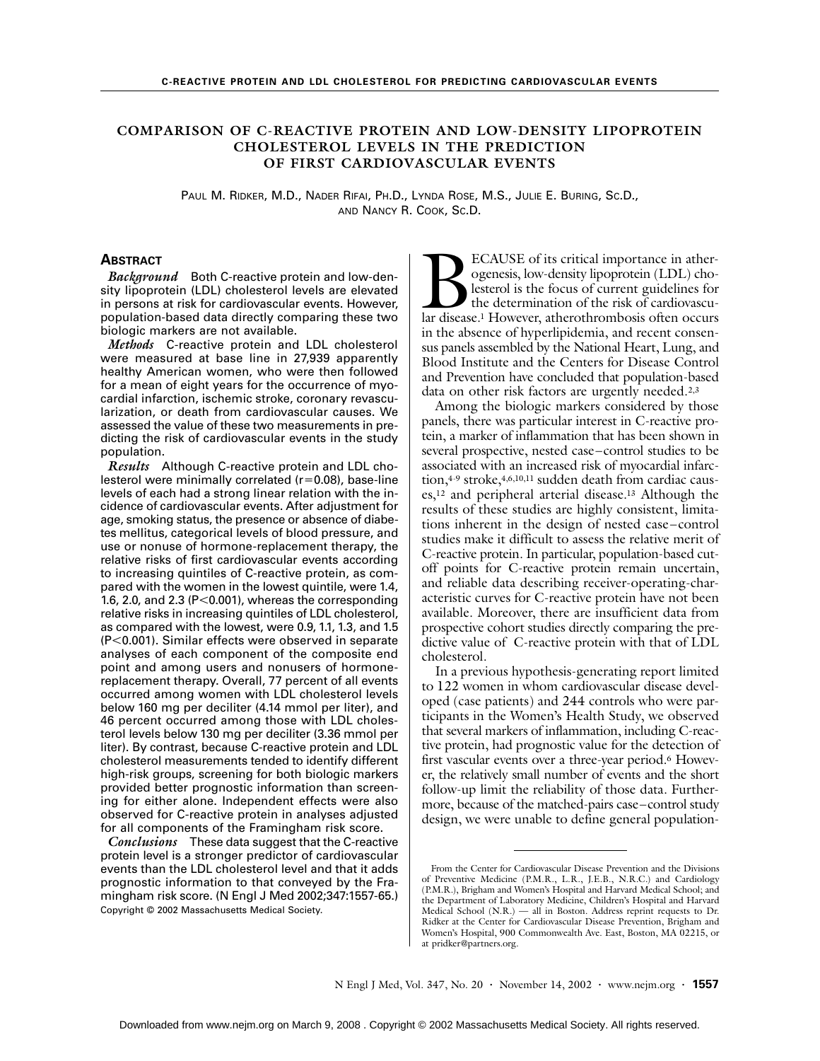# **COMPARISON OF C-REACTIVE PROTEIN AND LOW-DENSITY LIPOPROTEIN CHOLESTEROL LEVELS IN THE PREDICTION OF FIRST CARDIOVASCULAR EVENTS**

PAUL M. RIDKER, M.D., NADER RIFAI, PH.D., LYNDA ROSE, M.S., JULIE E. BURING, SC.D., AND NANCY R. COOK, SC.D.

# **ABSTRACT**

*Background* Both C-reactive protein and low-density lipoprotein (LDL) cholesterol levels are elevated in persons at risk for cardiovascular events. However, population-based data directly comparing these two biologic markers are not available.

*Methods* C-reactive protein and LDL cholesterol were measured at base line in 27,939 apparently healthy American women, who were then followed for a mean of eight years for the occurrence of myocardial infarction, ischemic stroke, coronary revascularization, or death from cardiovascular causes. We assessed the value of these two measurements in predicting the risk of cardiovascular events in the study population.

*Results* Although C-reactive protein and LDL cholesterol were minimally correlated  $(r=0.08)$ , base-line levels of each had a strong linear relation with the incidence of cardiovascular events. After adjustment for age, smoking status, the presence or absence of diabetes mellitus, categorical levels of blood pressure, and use or nonuse of hormone-replacement therapy, the relative risks of first cardiovascular events according to increasing quintiles of C-reactive protein, as compared with the women in the lowest quintile, were 1.4, 1.6, 2.0, and 2.3 ( $P < 0.001$ ), whereas the corresponding relative risks in increasing quintiles of LDL cholesterol, as compared with the lowest, were 0.9, 1.1, 1.3, and 1.5 (P<0.001). Similar effects were observed in separate analyses of each component of the composite end point and among users and nonusers of hormonereplacement therapy. Overall, 77 percent of all events occurred among women with LDL cholesterol levels below 160 mg per deciliter (4.14 mmol per liter), and 46 percent occurred among those with LDL cholesterol levels below 130 mg per deciliter (3.36 mmol per liter). By contrast, because C-reactive protein and LDL cholesterol measurements tended to identify different high-risk groups, screening for both biologic markers provided better prognostic information than screening for either alone. Independent effects were also observed for C-reactive protein in analyses adjusted for all components of the Framingham risk score.

*Conclusions* These data suggest that the C-reactive protein level is a stronger predictor of cardiovascular events than the LDL cholesterol level and that it adds prognostic information to that conveyed by the Framingham risk score. (N Engl J Med 2002;347:1557-65.) Copyright © 2002 Massachusetts Medical Society.

ECAUSE of its critical importance in atherogenesis, low-density lipoprotein (LDL) cholesterol is the focus of current guidelines for the determination of the risk of cardiovascu-BECAUSE of its critical importance in ather-<br>ogenesis, low-density lipoprotein (LDL) cho-<br>lesterol is the focus of current guidelines for<br>the determination of the risk of cardiovascu-<br>lar disease.<sup>1</sup> However, atherothrombo in the absence of hyperlipidemia, and recent consensus panels assembled by the National Heart, Lung, and Blood Institute and the Centers for Disease Control and Prevention have concluded that population-based data on other risk factors are urgently needed.2,3

Among the biologic markers considered by those panels, there was particular interest in C-reactive protein, a marker of inflammation that has been shown in several prospective, nested case–control studies to be associated with an increased risk of myocardial infarction,4-9 stroke,4,6,10,11 sudden death from cardiac causes,12 and peripheral arterial disease.13 Although the results of these studies are highly consistent, limitations inherent in the design of nested case–control studies make it difficult to assess the relative merit of C-reactive protein. In particular, population-based cutoff points for C-reactive protein remain uncertain, and reliable data describing receiver-operating-characteristic curves for C-reactive protein have not been available. Moreover, there are insufficient data from prospective cohort studies directly comparing the predictive value of C-reactive protein with that of LDL cholesterol.

In a previous hypothesis-generating report limited to 122 women in whom cardiovascular disease developed (case patients) and 244 controls who were participants in the Women's Health Study, we observed that several markers of inflammation, including C-reactive protein, had prognostic value for the detection of first vascular events over a three-year period.<sup>6</sup> However, the relatively small number of events and the short follow-up limit the reliability of those data. Furthermore, because of the matched-pairs case–control study design, we were unable to define general population-

From the Center for Cardiovascular Disease Prevention and the Divisions of Preventive Medicine (P.M.R., L.R., J.E.B., N.R.C.) and Cardiology (P.M.R.), Brigham and Women's Hospital and Harvard Medical School; and the Department of Laboratory Medicine, Children's Hospital and Harvard Medical School (N.R.) — all in Boston. Address reprint requests to Dr. Ridker at the Center for Cardiovascular Disease Prevention, Brigham and Women's Hospital, 900 Commonwealth Ave. East, Boston, MA 02215, or at pridker@partners.org.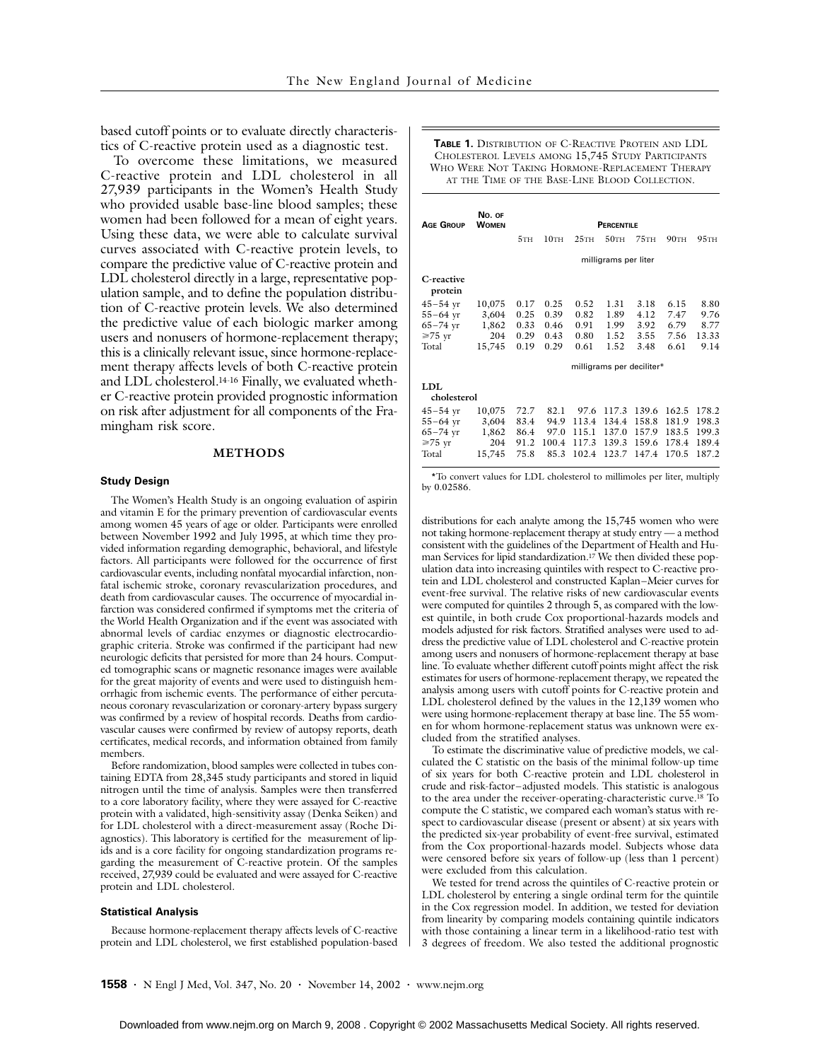based cutoff points or to evaluate directly characteristics of C-reactive protein used as a diagnostic test.

To overcome these limitations, we measured C-reactive protein and LDL cholesterol in all 27,939 participants in the Women's Health Study who provided usable base-line blood samples; these women had been followed for a mean of eight years. Using these data, we were able to calculate survival curves associated with C-reactive protein levels, to compare the predictive value of C-reactive protein and LDL cholesterol directly in a large, representative population sample, and to define the population distribution of C-reactive protein levels. We also determined the predictive value of each biologic marker among users and nonusers of hormone-replacement therapy; this is a clinically relevant issue, since hormone-replacement therapy affects levels of both C-reactive protein and LDL cholesterol.14-16 Finally, we evaluated whether C-reactive protein provided prognostic information on risk after adjustment for all components of the Framingham risk score.

### **METHODS**

#### **Study Design**

The Women's Health Study is an ongoing evaluation of aspirin and vitamin E for the primary prevention of cardiovascular events among women 45 years of age or older. Participants were enrolled between November 1992 and July 1995, at which time they provided information regarding demographic, behavioral, and lifestyle factors. All participants were followed for the occurrence of first cardiovascular events, including nonfatal myocardial infarction, nonfatal ischemic stroke, coronary revascularization procedures, and death from cardiovascular causes. The occurrence of myocardial infarction was considered confirmed if symptoms met the criteria of the World Health Organization and if the event was associated with abnormal levels of cardiac enzymes or diagnostic electrocardiographic criteria. Stroke was confirmed if the participant had new neurologic deficits that persisted for more than 24 hours. Computed tomographic scans or magnetic resonance images were available for the great majority of events and were used to distinguish hemorrhagic from ischemic events. The performance of either percutaneous coronary revascularization or coronary-artery bypass surgery was confirmed by a review of hospital records. Deaths from cardiovascular causes were confirmed by review of autopsy reports, death certificates, medical records, and information obtained from family members.

Before randomization, blood samples were collected in tubes containing EDTA from 28,345 study participants and stored in liquid nitrogen until the time of analysis. Samples were then transferred to a core laboratory facility, where they were assayed for C-reactive protein with a validated, high-sensitivity assay (Denka Seiken) and for LDL cholesterol with a direct-measurement assay (Roche Diagnostics). This laboratory is certified for the measurement of lipids and is a core facility for ongoing standardization programs regarding the measurement of C-reactive protein. Of the samples received, 27,939 could be evaluated and were assayed for C-reactive protein and LDL cholesterol.

#### **Statistical Analysis**

Because hormone-replacement therapy affects levels of C-reactive protein and LDL cholesterol, we first established population-based

**TABLE 1.** DISTRIBUTION OF C-REACTIVE PROTEIN AND LDL CHOLESTEROL LEVELS AMONG 15,745 STUDY PARTICIPANTS WHO WERE NOT TAKING HORMONE-REPLACEMENT THERAPY AT THE TIME OF THE BASE-LINE BLOOD COLLECTION.

| Age Group             | No. OF<br><b>WOMEN</b> | <b>PERCENTILE</b>         |         |       |         |         |         |                  |  |
|-----------------------|------------------------|---------------------------|---------|-------|---------|---------|---------|------------------|--|
|                       |                        | 5TH                       | $10$ TH | 25TH  | $50$ TH | $75$ TH | $90$ TH | 95 <sub>TH</sub> |  |
|                       |                        | milligrams per liter      |         |       |         |         |         |                  |  |
| C-reactive<br>protein |                        |                           |         |       |         |         |         |                  |  |
| $45 - 54$ yr          | 10,075                 | 0.17                      | 0.25    | 0.52  | 1.31    | 3.18    | 6.15    | 8.80             |  |
| $55 - 64$ yr          | 3,604                  | 0.25                      | 0.39    | 0.82  | 1.89    | 4.12    | 7.47    | 9.76             |  |
| $65 - 74$ yr          | 1,862                  | 0.33                      | 0.46    | 0.91  | 1.99    | 3.92    | 6.79    | 8.77             |  |
| $≥75$ yr              | 204                    | 0.29                      | 0.43    | 0.80  | 1.52    | 3.55    | 7.56    | 13.33            |  |
| Total                 | 15,745                 | 0.19                      | 0.29    | 0.61  | 1.52    | 3.48    | 6.61    | 9.14             |  |
|                       |                        | milligrams per deciliter* |         |       |         |         |         |                  |  |
| LDL                   |                        |                           |         |       |         |         |         |                  |  |
| cholesterol           |                        |                           |         |       |         |         |         |                  |  |
| $45 - 54$ yr          | 10,075                 | 72.7                      | 82.1    | 97.6  | 117.3   | 139.6   | 162.5   | 178.2            |  |
| $55 - 64$ yr          | 3,604                  | 83.4                      | 94.9    | 113.4 | 134.4   | 158.8   | 181.9   | 198.3            |  |
| $65 - 74$ yr          | 1,862                  | 86.4                      | 97.0    | 115.1 | 137.0   | 157.9   | 183.5   | 199.3            |  |

\*To convert values for LDL cholesterol to millimoles per liter, multiply by 0.02586.

 $65-74 \text{ yr}$  1,862 86.4 97.0 115.1 137.0 157.9 183.5 199.3<br> $\geq 75 \text{ yr}$  204 91.2 100.4 117.3 139.3 159.6 178.4 189.4  $\geq 75 \text{ yr}$  204 91.2 100.4 117.3 139.3 159.6 178.4<br>Total 15.745 75.8 85.3 102.4 123.7 147.4 170.5

Total 15,745 75.8 85.3 102.4 123.7 147.4 170.5 187.2

distributions for each analyte among the 15,745 women who were not taking hormone-replacement therapy at study entry — a method consistent with the guidelines of the Department of Health and Human Services for lipid standardization.17 We then divided these population data into increasing quintiles with respect to C-reactive protein and LDL cholesterol and constructed Kaplan–Meier curves for event-free survival. The relative risks of new cardiovascular events were computed for quintiles 2 through 5, as compared with the lowest quintile, in both crude Cox proportional-hazards models and models adjusted for risk factors. Stratified analyses were used to address the predictive value of LDL cholesterol and C-reactive protein among users and nonusers of hormone-replacement therapy at base line. To evaluate whether different cutoff points might affect the risk estimates for users of hormone-replacement therapy, we repeated the analysis among users with cutoff points for C-reactive protein and LDL cholesterol defined by the values in the 12,139 women who were using hormone-replacement therapy at base line. The 55 women for whom hormone-replacement status was unknown were excluded from the stratified analyses.

To estimate the discriminative value of predictive models, we calculated the C statistic on the basis of the minimal follow-up time of six years for both C-reactive protein and LDL cholesterol in crude and risk-factor–adjusted models. This statistic is analogous to the area under the receiver-operating-characteristic curve.18 To compute the C statistic, we compared each woman's status with respect to cardiovascular disease (present or absent) at six years with the predicted six-year probability of event-free survival, estimated from the Cox proportional-hazards model. Subjects whose data were censored before six years of follow-up (less than 1 percent) were excluded from this calculation.

We tested for trend across the quintiles of C-reactive protein or LDL cholesterol by entering a single ordinal term for the quintile in the Cox regression model. In addition, we tested for deviation from linearity by comparing models containing quintile indicators with those containing a linear term in a likelihood-ratio test with 3 degrees of freedom. We also tested the additional prognostic

**1558 ·** N Engl J Med, Vol. 347, No. 20 **·** November 14, 2002 **·** www.nejm.org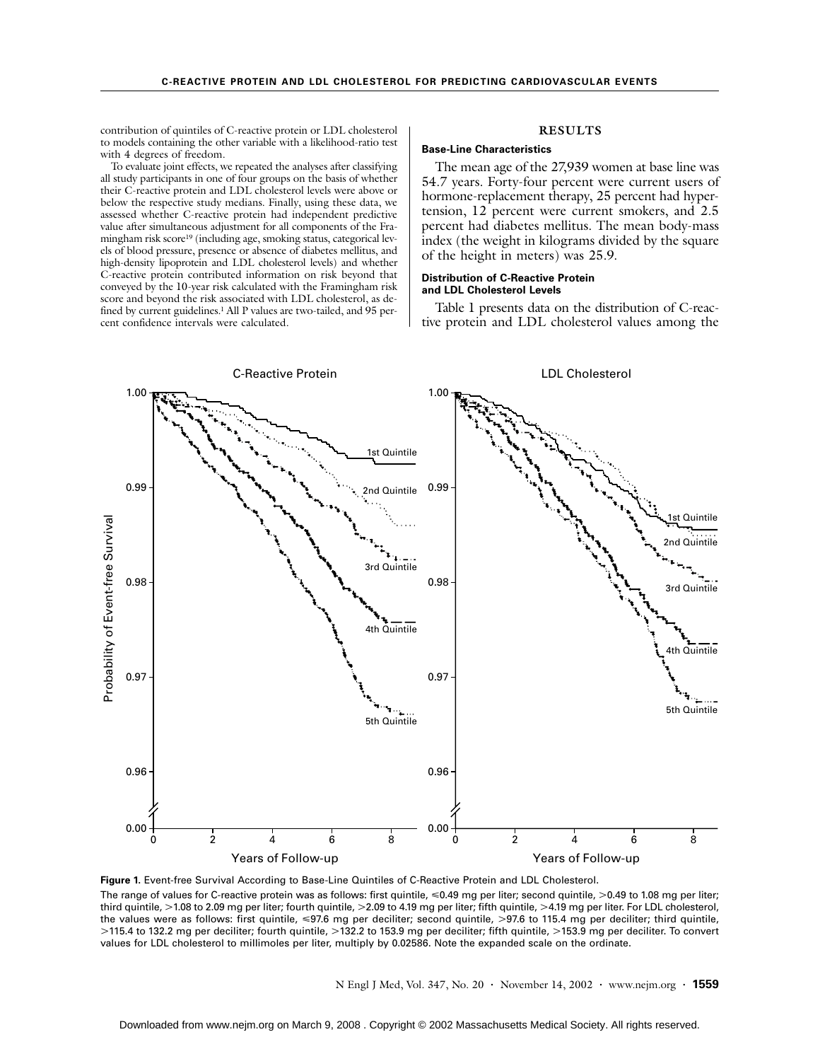contribution of quintiles of C-reactive protein or LDL cholesterol to models containing the other variable with a likelihood-ratio test with 4 degrees of freedom.

To evaluate joint effects, we repeated the analyses after classifying all study participants in one of four groups on the basis of whether their C-reactive protein and LDL cholesterol levels were above or below the respective study medians. Finally, using these data, we assessed whether C-reactive protein had independent predictive value after simultaneous adjustment for all components of the Framingham risk score19 (including age, smoking status, categorical levels of blood pressure, presence or absence of diabetes mellitus, and high-density lipoprotein and LDL cholesterol levels) and whether C-reactive protein contributed information on risk beyond that conveyed by the 10-year risk calculated with the Framingham risk score and beyond the risk associated with LDL cholesterol, as defined by current guidelines.<sup>1</sup> All P values are two-tailed, and 95 percent confidence intervals were calculated.

### **RESULTS**

## **Base-Line Characteristics**

The mean age of the 27,939 women at base line was 54.7 years. Forty-four percent were current users of hormone-replacement therapy, 25 percent had hypertension, 12 percent were current smokers, and 2.5 percent had diabetes mellitus. The mean body-mass index (the weight in kilograms divided by the square of the height in meters) was 25.9.

#### **Distribution of C-Reactive Protein and LDL Cholesterol Levels**

Table 1 presents data on the distribution of C-reactive protein and LDL cholesterol values among the



The range of values for C-reactive protein was as follows: first quintile,  $\leq 0.49$  mg per liter; second quintile,  $>0.49$  to 1.08 mg per liter; third quintile, >1.08 to 2.09 mg per liter; fourth quintile, >2.09 to 4.19 mg per liter; fifth quintile, >4.19 mg per liter. For LDL cholesterol, the values were as follows: first quintile, <97.6 mg per deciliter; second quintile, >97.6 to 115.4 mg per deciliter; third quintile, >115.4 to 132.2 mg per deciliter; fourth quintile, >132.2 to 153.9 mg per deciliter; fifth quintile, >153.9 mg per deciliter. To convert values for LDL cholesterol to millimoles per liter, multiply by 0.02586. Note the expanded scale on the ordinate.

N Engl J Med, Vol. 347, No. 20 **·** November 14, 2002 **·** www.nejm.org **· 1559**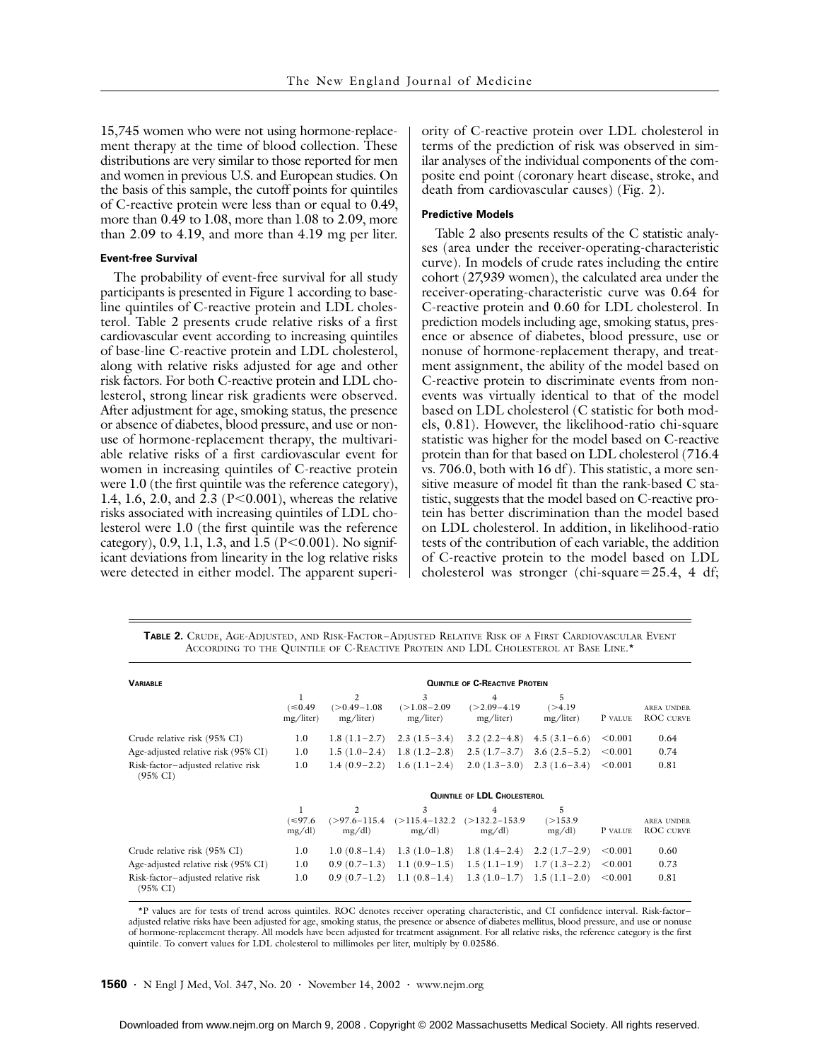15,745 women who were not using hormone-replacement therapy at the time of blood collection. These distributions are very similar to those reported for men and women in previous U.S. and European studies. On the basis of this sample, the cutoff points for quintiles of C-reactive protein were less than or equal to 0.49, more than 0.49 to 1.08, more than 1.08 to 2.09, more than 2.09 to 4.19, and more than 4.19 mg per liter.

### **Event-free Survival**

The probability of event-free survival for all study participants is presented in Figure 1 according to baseline quintiles of C-reactive protein and LDL cholesterol. Table 2 presents crude relative risks of a first cardiovascular event according to increasing quintiles of base-line C-reactive protein and LDL cholesterol, along with relative risks adjusted for age and other risk factors. For both C-reactive protein and LDL cholesterol, strong linear risk gradients were observed. After adjustment for age, smoking status, the presence or absence of diabetes, blood pressure, and use or nonuse of hormone-replacement therapy, the multivariable relative risks of a first cardiovascular event for women in increasing quintiles of C-reactive protein were 1.0 (the first quintile was the reference category), 1.4, 1.6, 2.0, and 2.3 (P<0.001), whereas the relative risks associated with increasing quintiles of LDL cholesterol were 1.0 (the first quintile was the reference category),  $0.9$ , 1.1, 1.3, and 1.5 (P<0.001). No significant deviations from linearity in the log relative risks were detected in either model. The apparent superiority of C-reactive protein over LDL cholesterol in terms of the prediction of risk was observed in similar analyses of the individual components of the composite end point (coronary heart disease, stroke, and death from cardiovascular causes) (Fig. 2).

# **Predictive Models**

Table 2 also presents results of the C statistic analyses (area under the receiver-operating-characteristic curve). In models of crude rates including the entire cohort (27,939 women), the calculated area under the receiver-operating-characteristic curve was 0.64 for C-reactive protein and 0.60 for LDL cholesterol. In prediction models including age, smoking status, presence or absence of diabetes, blood pressure, use or nonuse of hormone-replacement therapy, and treatment assignment, the ability of the model based on C-reactive protein to discriminate events from nonevents was virtually identical to that of the model based on LDL cholesterol (C statistic for both models, 0.81). However, the likelihood-ratio chi-square statistic was higher for the model based on C-reactive protein than for that based on LDL cholesterol (716.4 vs. 706.0, both with 16 df). This statistic, a more sensitive measure of model fit than the rank-based C statistic, suggests that the model based on C-reactive protein has better discrimination than the model based on LDL cholesterol. In addition, in likelihood-ratio tests of the contribution of each variable, the addition of C-reactive protein to the model based on LDL cholesterol was stronger (chi-square=25.4, 4 df;

**TABLE 2.** CRUDE, AGE-ADJUSTED, AND RISK-FACTOR–ADJUSTED RELATIVE RISK OF A FIRST CARDIOVASCULAR EVENT ACCORDING TO THE QUINTILE OF C-REACTIVE PROTEIN AND LDL CHOLESTEROL AT BASE LINE.\*

| <b>VARIABLE</b>                                           |                                    | <b>QUINTILE OF C-REACTIVE PROTEIN</b> |                                  |                                               |                             |         |                                       |  |  |
|-----------------------------------------------------------|------------------------------------|---------------------------------------|----------------------------------|-----------------------------------------------|-----------------------------|---------|---------------------------------------|--|--|
|                                                           | $(\le 0.49)$<br>mg/liter)          | 2<br>$(>0.49-1.08)$<br>mg/liter)      | 3<br>$(>1.08-2.09)$<br>mg/liter) | $\overline{4}$<br>$(>2.09-4.19)$<br>mg/liter) | 5<br>( > 4.19)<br>mg/liter) | P VALUE | <b>AREA UNDER</b><br><b>ROC</b> CURVE |  |  |
| Crude relative risk (95% CI)                              | 1.0                                | $1.8(1.1-2.7)$                        | $2.3(1.5-3.4)$                   | $3.2(2.2 - 4.8)$                              | $4.5(3.1-6.6)$              | < 0.001 | 0.64                                  |  |  |
| Age-adjusted relative risk (95% CI)                       | 1.0                                | $1.5(1.0-2.4)$                        | $1.8(1.2-2.8)$                   | $2.5(1.7-3.7)$                                | $3.6(2.5-5.2)$              | < 0.001 | 0.74                                  |  |  |
| Risk-factor-adjusted relative risk<br>$(95\% \text{ CI})$ | 1.0                                | $1.4(0.9-2.2)$                        | $1.6(1.1-2.4)$                   | $2.0(1.3-3.0)$                                | $2.3(1.6-3.4)$              | < 0.001 | 0.81                                  |  |  |
|                                                           | <b>QUINTILE OF LDL CHOLESTEROL</b> |                                       |                                  |                                               |                             |         |                                       |  |  |
|                                                           | 1<br>(≤97.6<br>mg/dl               | 2<br>$(>97.6 - 115.4)$<br>mg/dl       | 3<br>$(>115.4-132.2)$<br>mg/dl   | $\overline{4}$<br>$(>132.2-153.9)$<br>mg/dl   | 5<br>(>153.9<br>mg/dl       | P VALUE | <b>AREA UNDER</b><br><b>ROC</b> CURVE |  |  |
| Crude relative risk (95% CI)                              | 1.0                                | $1.0(0.8-1.4)$                        | $1.3(1.0-1.8)$                   | $1.8(1.4-2.4)$                                | $2.2(1.7-2.9)$              | < 0.001 | 0.60                                  |  |  |
| Age-adjusted relative risk (95% CI)                       | 1.0                                | $0.9(0.7-1.3)$                        | $1.1(0.9-1.5)$                   | $1.5(1.1-1.9)$                                | $1.7(1.3-2.2)$              | < 0.001 | 0.73                                  |  |  |
| Risk-factor-adjusted relative risk<br>$(95\% \text{ CI})$ | 1.0                                | $0.9(0.7-1.2)$                        | $1.1(0.8-1.4)$                   | $1.3(1.0-1.7)$                                | $1.5(1.1-2.0)$              | < 0.001 | 0.81                                  |  |  |

\*P values are for tests of trend across quintiles. ROC denotes receiver operating characteristic, and CI confidence interval. Risk-factor– adjusted relative risks have been adjusted for age, smoking status, the presence or absence of diabetes mellitus, blood pressure, and use or nonuse of hormone-replacement therapy. All models have been adjusted for treatment assignment. For all relative risks, the reference category is the first quintile. To convert values for LDL cholesterol to millimoles per liter, multiply by 0.02586.

**1560 ·** N Engl J Med, Vol. 347, No. 20 **·** November 14, 2002 **·** www.nejm.org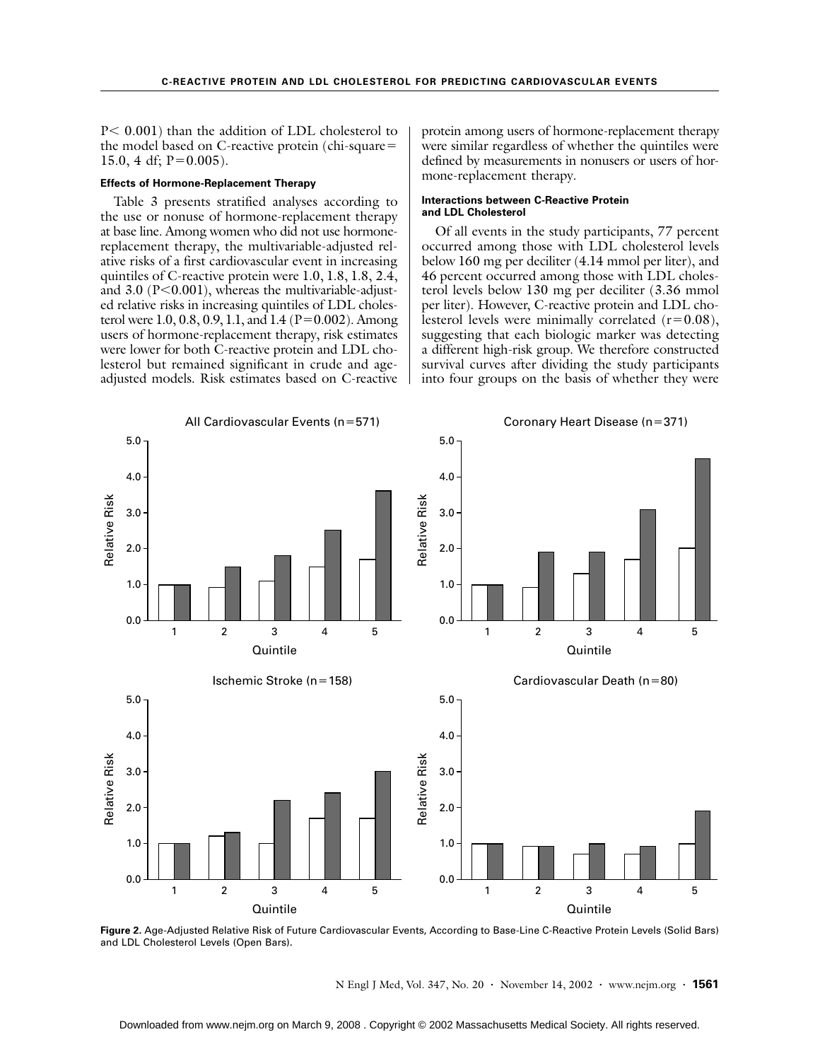P< 0.001) than the addition of LDL cholesterol to the model based on C-reactive protein (chi-square= 15.0, 4 df;  $P=0.005$ ).

### **Effects of Hormone-Replacement Therapy**

Table 3 presents stratified analyses according to the use or nonuse of hormone-replacement therapy at base line. Among women who did not use hormonereplacement therapy, the multivariable-adjusted relative risks of a first cardiovascular event in increasing quintiles of C-reactive protein were 1.0, 1.8, 1.8, 2.4, and 3.0 ( $P<0.001$ ), whereas the multivariable-adjusted relative risks in increasing quintiles of LDL cholesterol were 1.0, 0.8, 0.9, 1.1, and 1.4 ( $P=0.002$ ). Among users of hormone-replacement therapy, risk estimates were lower for both C-reactive protein and LDL cholesterol but remained significant in crude and ageadjusted models. Risk estimates based on C-reactive protein among users of hormone-replacement therapy were similar regardless of whether the quintiles were defined by measurements in nonusers or users of hormone-replacement therapy.

### **Interactions between C-Reactive Protein and LDL Cholesterol**

Of all events in the study participants, 77 percent occurred among those with LDL cholesterol levels below 160 mg per deciliter (4.14 mmol per liter), and 46 percent occurred among those with LDL cholesterol levels below 130 mg per deciliter (3.36 mmol per liter). However, C-reactive protein and LDL cholesterol levels were minimally correlated  $(r=0.08)$ , suggesting that each biologic marker was detecting a different high-risk group. We therefore constructed survival curves after dividing the study participants into four groups on the basis of whether they were



**Figure 2.** Age-Adjusted Relative Risk of Future Cardiovascular Events, According to Base-Line C-Reactive Protein Levels (Solid Bars) and LDL Cholesterol Levels (Open Bars).

N Engl J Med, Vol. 347, No. 20 **·** November 14, 2002 **·** www.nejm.org **· 1561**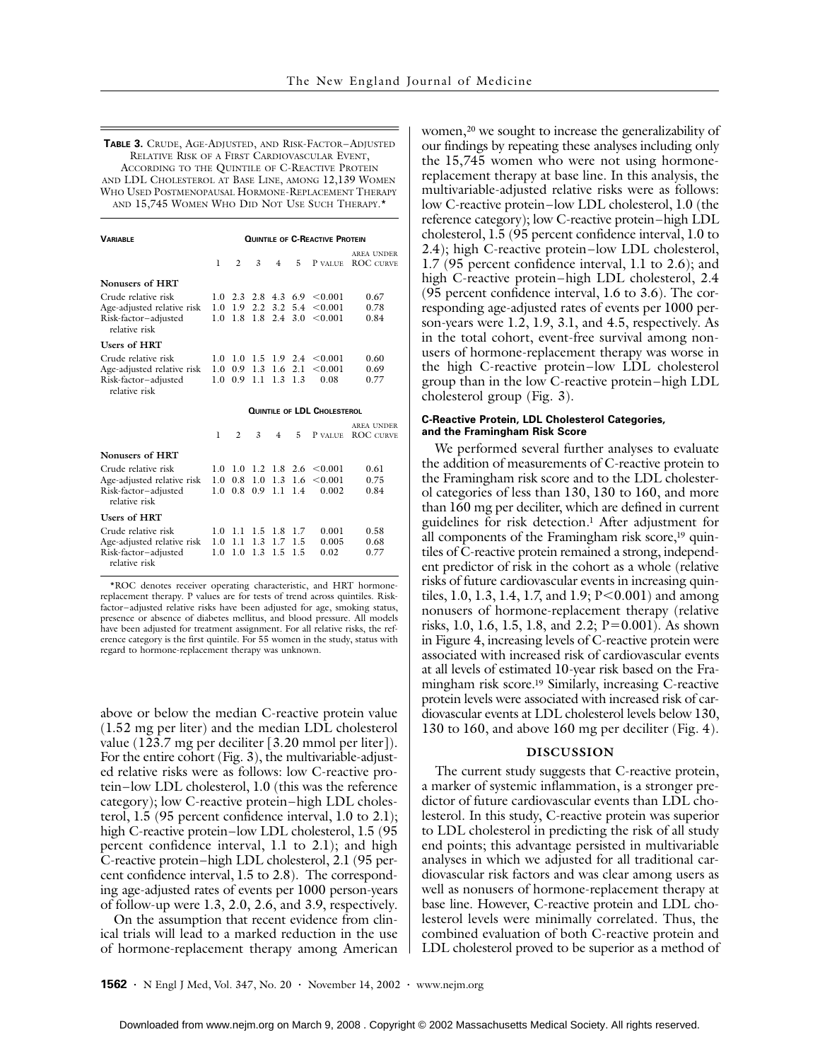**TABLE 3.** CRUDE, AGE-ADJUSTED, AND RISK-FACTOR–ADJUSTED RELATIVE RISK OF A FIRST CARDIOVASCULAR EVENT, ACCORDING TO THE QUINTILE OF C-REACTIVE PROTEIN AND LDL CHOLESTEROL AT BASE LINE, AMONG 12,139 WOMEN WHO USED POSTMENOPAUSAL HORMONE-REPLACEMENT THERAPY AND 15,745 WOMEN WHO DID NOT USE SUCH THERAPY.\*

| <b><i>VARIABLE</i></b>                                                                     | <b>QUINTILE OF C-REACTIVE PROTEIN</b> |                               |                                       |                    |                            |                                              |                                       |
|--------------------------------------------------------------------------------------------|---------------------------------------|-------------------------------|---------------------------------------|--------------------|----------------------------|----------------------------------------------|---------------------------------------|
|                                                                                            | 1                                     | $\overline{c}$                | 3                                     | 4                  | 5                          | P VALUE.                                     | AREA UNDER<br><b>ROC CURVE</b>        |
| Nonusers of HRT                                                                            |                                       |                               |                                       |                    |                            |                                              |                                       |
| Crude relative risk<br>Age-adjusted relative risk<br>Risk-factor-adjusted<br>relative risk | 10                                    | $1.0 \quad 1.9$<br>1.8        | $1.0$ 2.3 2.8 4.3 6.9<br>1.8          | $2.2 \t3.2$<br>2.4 | 5.4<br>3.0                 | <0.001<br>< 0.001<br>< 0.001                 | 0.67<br>0.78<br>0.84                  |
| <b>Users of HRT</b>                                                                        |                                       |                               |                                       |                    |                            |                                              |                                       |
| Crude relative risk<br>Age-adjusted relative risk<br>Risk-factor-adjusted<br>relative risk | 10<br>1.0<br>10                       | 1.0                           | 1.5<br>$0.9$ 1.3 1.6 2.1<br>$0.9$ 1.1 |                    | 1.9 2.4<br>$1.3 \quad 1.3$ | <0.001<br>< 0.001<br>0.08                    | 0.60<br>0.69<br>0.77                  |
|                                                                                            | <b>QUINTILE OF LDL CHOLESTEROL</b>    |                               |                                       |                    |                            |                                              |                                       |
|                                                                                            | 1                                     | $\overline{c}$                | 3                                     | 4                  | 5                          | P VALUE.                                     | <b>AREA UNDER</b><br><b>ROC CURVE</b> |
| Nonusers of HRT                                                                            |                                       |                               |                                       |                    |                            |                                              |                                       |
| Crude relative risk<br>Age-adjusted relative risk<br>Risk-factor-adjusted<br>relative risk | 1.0<br>1 <sub>0</sub>                 | $1.0 \quad 1.0$<br>0.8<br>0.8 | 1.0<br>0.9                            | 1.3<br>1.1         | -1.6<br>1.4                | 1.2 1.8 2.6 $\leq 0.001$<br>< 0.001<br>0.002 | 0.61<br>0.75<br>0.84                  |
| <b>Users of HRT</b>                                                                        |                                       |                               |                                       |                    |                            |                                              |                                       |
| Crude relative risk                                                                        |                                       | $1.0$ 1.1                     |                                       | 1.5 1.8 1.7        | 1.5                        | 0.001<br>0.005                               | 0.58<br>0.68                          |

\*ROC denotes receiver operating characteristic, and HRT hormonereplacement therapy. P values are for tests of trend across quintiles. Riskfactor–adjusted relative risks have been adjusted for age, smoking status, presence or absence of diabetes mellitus, and blood pressure. All models have been adjusted for treatment assignment. For all relative risks, the reference category is the first quintile. For 55 women in the study, status with regard to hormone-replacement therapy was unknown.

above or below the median C-reactive protein value (1.52 mg per liter) and the median LDL cholesterol value (123.7 mg per deciliter [3.20 mmol per liter]). For the entire cohort (Fig. 3), the multivariable-adjusted relative risks were as follows: low C-reactive protein–low LDL cholesterol, 1.0 (this was the reference category); low C-reactive protein–high LDL cholesterol, 1.5 (95 percent confidence interval, 1.0 to 2.1); high C-reactive protein–low LDL cholesterol, 1.5 (95) percent confidence interval, 1.1 to 2.1); and high C-reactive protein–high LDL cholesterol, 2.1 (95 percent confidence interval, 1.5 to 2.8). The corresponding age-adjusted rates of events per 1000 person-years of follow-up were 1.3, 2.0, 2.6, and 3.9, respectively.

On the assumption that recent evidence from clinical trials will lead to a marked reduction in the use of hormone-replacement therapy among American women,<sup>20</sup> we sought to increase the generalizability of our findings by repeating these analyses including only the 15,745 women who were not using hormonereplacement therapy at base line. In this analysis, the multivariable-adjusted relative risks were as follows: low C-reactive protein–low LDL cholesterol, 1.0 (the reference category); low C-reactive protein–high LDL cholesterol, 1.5 (95 percent confidence interval, 1.0 to 2.4); high C-reactive protein–low LDL cholesterol, 1.7 (95 percent confidence interval, 1.1 to 2.6); and high C-reactive protein–high LDL cholesterol, 2.4 (95 percent confidence interval, 1.6 to 3.6). The corresponding age-adjusted rates of events per 1000 person-years were 1.2, 1.9, 3.1, and 4.5, respectively. As in the total cohort, event-free survival among nonusers of hormone-replacement therapy was worse in the high C-reactive protein–low LDL cholesterol group than in the low C-reactive protein–high LDL cholesterol group (Fig. 3).

## **C-Reactive Protein, LDL Cholesterol Categories, and the Framingham Risk Score**

We performed several further analyses to evaluate the addition of measurements of C-reactive protein to the Framingham risk score and to the LDL cholesterol categories of less than 130, 130 to 160, and more than 160 mg per deciliter, which are defined in current guidelines for risk detection.1 After adjustment for all components of the Framingham risk score,<sup>19</sup> quintiles of C-reactive protein remained a strong, independent predictor of risk in the cohort as a whole (relative risks of future cardiovascular events in increasing quintiles, 1.0, 1.3, 1.4, 1.7, and 1.9;  $P < 0.001$ ) and among nonusers of hormone-replacement therapy (relative risks, 1.0, 1.6, 1.5, 1.8, and 2.2; P=0.001). As shown in Figure 4, increasing levels of C-reactive protein were associated with increased risk of cardiovascular events at all levels of estimated 10-year risk based on the Framingham risk score.19 Similarly, increasing C-reactive protein levels were associated with increased risk of cardiovascular events at LDL cholesterol levels below 130, 130 to 160, and above 160 mg per deciliter (Fig. 4).

### **DISCUSSION**

The current study suggests that C-reactive protein, a marker of systemic inflammation, is a stronger predictor of future cardiovascular events than LDL cholesterol. In this study, C-reactive protein was superior to LDL cholesterol in predicting the risk of all study end points; this advantage persisted in multivariable analyses in which we adjusted for all traditional cardiovascular risk factors and was clear among users as well as nonusers of hormone-replacement therapy at base line. However, C-reactive protein and LDL cholesterol levels were minimally correlated. Thus, the combined evaluation of both C-reactive protein and LDL cholesterol proved to be superior as a method of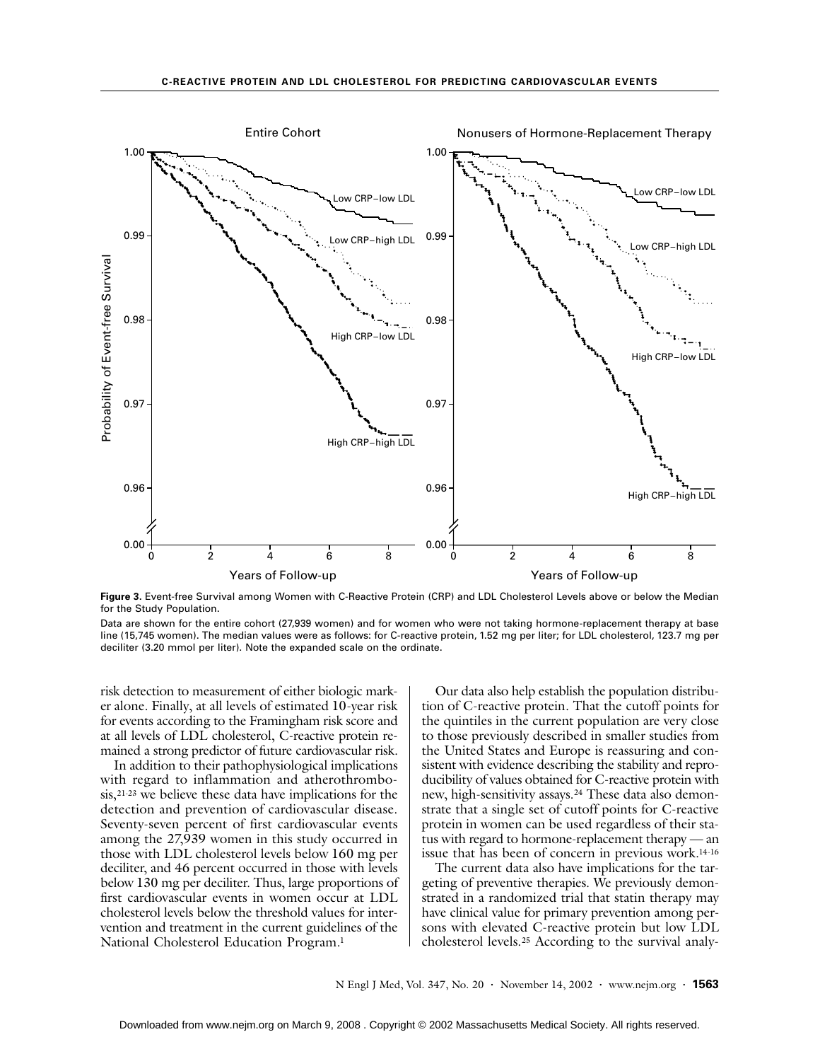

**Figure 3.** Event-free Survival among Women with C-Reactive Protein (CRP) and LDL Cholesterol Levels above or below the Median for the Study Population.

Data are shown for the entire cohort (27,939 women) and for women who were not taking hormone-replacement therapy at base line (15,745 women). The median values were as follows: for C-reactive protein, 1.52 mg per liter; for LDL cholesterol, 123.7 mg per deciliter (3.20 mmol per liter). Note the expanded scale on the ordinate.

risk detection to measurement of either biologic marker alone. Finally, at all levels of estimated 10-year risk for events according to the Framingham risk score and at all levels of LDL cholesterol, C-reactive protein remained a strong predictor of future cardiovascular risk.

In addition to their pathophysiological implications with regard to inflammation and atherothrombosis,21-23 we believe these data have implications for the detection and prevention of cardiovascular disease. Seventy-seven percent of first cardiovascular events among the 27,939 women in this study occurred in those with LDL cholesterol levels below 160 mg per deciliter, and 46 percent occurred in those with levels below 130 mg per deciliter. Thus, large proportions of first cardiovascular events in women occur at LDL cholesterol levels below the threshold values for intervention and treatment in the current guidelines of the National Cholesterol Education Program.1

Our data also help establish the population distribution of C-reactive protein. That the cutoff points for the quintiles in the current population are very close to those previously described in smaller studies from the United States and Europe is reassuring and consistent with evidence describing the stability and reproducibility of values obtained for C-reactive protein with new, high-sensitivity assays.24 These data also demonstrate that a single set of cutoff points for C-reactive protein in women can be used regardless of their status with regard to hormone-replacement therapy — an issue that has been of concern in previous work.14-16

The current data also have implications for the targeting of preventive therapies. We previously demonstrated in a randomized trial that statin therapy may have clinical value for primary prevention among persons with elevated C-reactive protein but low LDL cholesterol levels.25 According to the survival analy-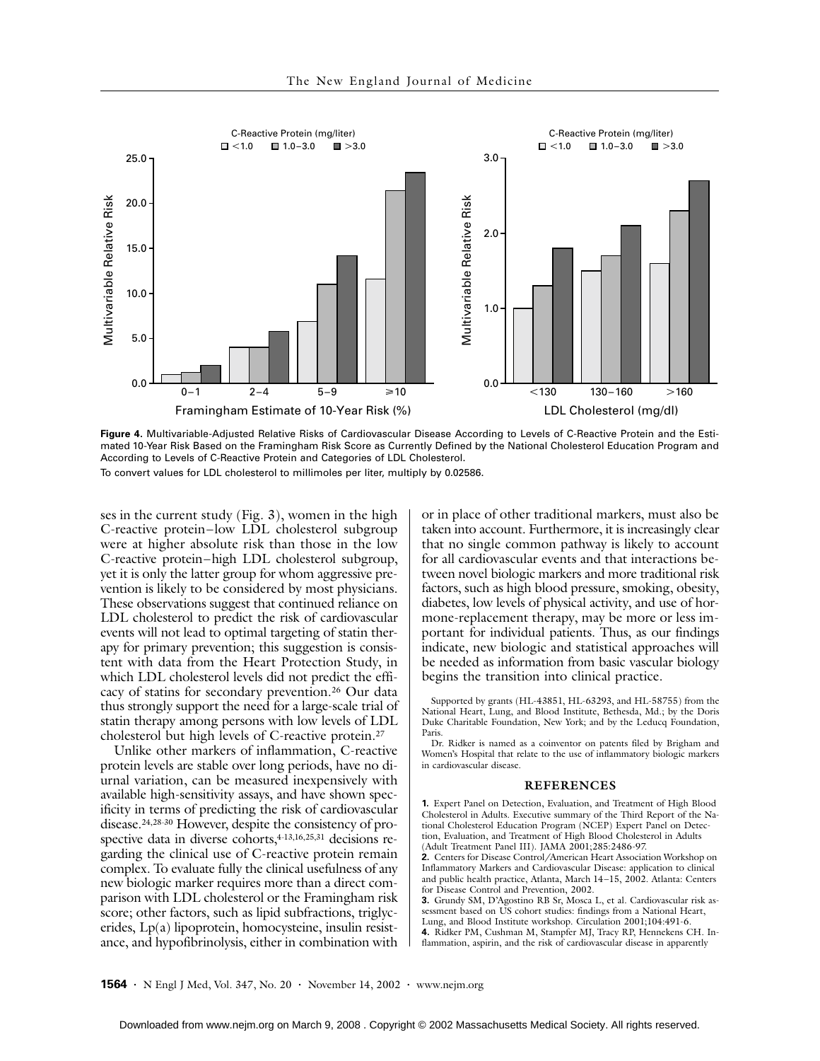

**Figure 4.** Multivariable-Adjusted Relative Risks of Cardiovascular Disease According to Levels of C-Reactive Protein and the Estimated 10-Year Risk Based on the Framingham Risk Score as Currently Defined by the National Cholesterol Education Program and According to Levels of C-Reactive Protein and Categories of LDL Cholesterol. To convert values for LDL cholesterol to millimoles per liter, multiply by 0.02586.

ses in the current study (Fig. 3), women in the high C-reactive protein–low LDL cholesterol subgroup were at higher absolute risk than those in the low C-reactive protein–high LDL cholesterol subgroup, yet it is only the latter group for whom aggressive prevention is likely to be considered by most physicians. These observations suggest that continued reliance on LDL cholesterol to predict the risk of cardiovascular events will not lead to optimal targeting of statin therapy for primary prevention; this suggestion is consistent with data from the Heart Protection Study, in which LDL cholesterol levels did not predict the efficacy of statins for secondary prevention.26 Our data thus strongly support the need for a large-scale trial of statin therapy among persons with low levels of LDL cholesterol but high levels of C-reactive protein.27

Unlike other markers of inflammation, C-reactive protein levels are stable over long periods, have no diurnal variation, can be measured inexpensively with available high-sensitivity assays, and have shown specificity in terms of predicting the risk of cardiovascular disease.24,28-30 However, despite the consistency of prospective data in diverse cohorts,<sup>4-13,16,25,31</sup> decisions regarding the clinical use of C-reactive protein remain complex. To evaluate fully the clinical usefulness of any new biologic marker requires more than a direct comparison with LDL cholesterol or the Framingham risk score; other factors, such as lipid subfractions, triglycerides, Lp(a) lipoprotein, homocysteine, insulin resistance, and hypofibrinolysis, either in combination with

or in place of other traditional markers, must also be taken into account. Furthermore, it is increasingly clear that no single common pathway is likely to account for all cardiovascular events and that interactions between novel biologic markers and more traditional risk factors, such as high blood pressure, smoking, obesity, diabetes, low levels of physical activity, and use of hormone-replacement therapy, may be more or less important for individual patients. Thus, as our findings indicate, new biologic and statistical approaches will be needed as information from basic vascular biology begins the transition into clinical practice.

Supported by grants (HL-43851, HL-63293, and HL-58755) from the National Heart, Lung, and Blood Institute, Bethesda, Md.; by the Doris Duke Charitable Foundation, New York; and by the Leducq Foundation, Paris

Dr. Ridker is named as a coinventor on patents filed by Brigham and Women's Hospital that relate to the use of inflammatory biologic markers in cardiovascular disease.

#### **REFERENCES**

**1.** Expert Panel on Detection, Evaluation, and Treatment of High Blood Cholesterol in Adults. Executive summary of the Third Report of the National Cholesterol Education Program (NCEP) Expert Panel on Detection, Evaluation, and Treatment of High Blood Cholesterol in Adults (Adult Treatment Panel III). JAMA 2001;285:2486-97.

**2.** Centers for Disease Control/American Heart Association Workshop on Inflammatory Markers and Cardiovascular Disease: application to clinical and public health practice, Atlanta, March 14–15, 2002. Atlanta: Centers for Disease Control and Prevention, 2002.

**3.** Grundy SM, D'Agostino RB Sr, Mosca L, et al. Cardiovascular risk assessment based on US cohort studies: findings from a National Heart, Lung, and Blood Institute workshop. Circulation 2001;104:491-6.

**4.** Ridker PM, Cushman M, Stampfer MJ, Tracy RP, Hennekens CH. Inflammation, aspirin, and the risk of cardiovascular disease in apparently

**1564 ·** N Engl J Med, Vol. 347, No. 20 **·** November 14, 2002 **·** www.nejm.org